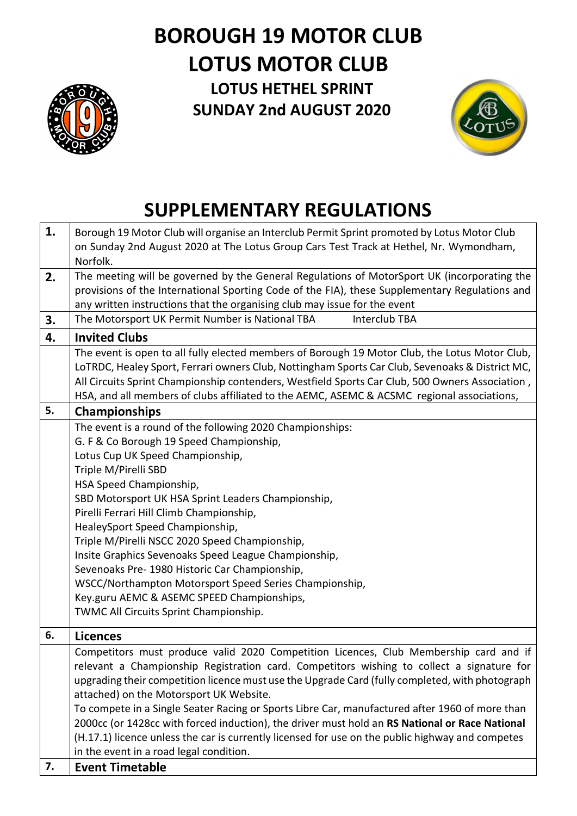# **BOROUGH 19 MOTOR CLUB LOTUS MOTOR CLUB**



**LOTUS HETHEL SPRINT SUNDAY 2nd AUGUST 2020**



# **SUPPLEMENTARY REGULATIONS**

| 1. | Borough 19 Motor Club will organise an Interclub Permit Sprint promoted by Lotus Motor Club                                                                                                                                                                                                                                                                                                                                                                                                                                                                                                                                                                                         |
|----|-------------------------------------------------------------------------------------------------------------------------------------------------------------------------------------------------------------------------------------------------------------------------------------------------------------------------------------------------------------------------------------------------------------------------------------------------------------------------------------------------------------------------------------------------------------------------------------------------------------------------------------------------------------------------------------|
|    | on Sunday 2nd August 2020 at The Lotus Group Cars Test Track at Hethel, Nr. Wymondham,<br>Norfolk.                                                                                                                                                                                                                                                                                                                                                                                                                                                                                                                                                                                  |
| 2. | The meeting will be governed by the General Regulations of MotorSport UK (incorporating the<br>provisions of the International Sporting Code of the FIA), these Supplementary Regulations and<br>any written instructions that the organising club may issue for the event                                                                                                                                                                                                                                                                                                                                                                                                          |
| 3. | The Motorsport UK Permit Number is National TBA<br>Interclub TBA                                                                                                                                                                                                                                                                                                                                                                                                                                                                                                                                                                                                                    |
| 4. | <b>Invited Clubs</b>                                                                                                                                                                                                                                                                                                                                                                                                                                                                                                                                                                                                                                                                |
|    | The event is open to all fully elected members of Borough 19 Motor Club, the Lotus Motor Club,<br>LOTRDC, Healey Sport, Ferrari owners Club, Nottingham Sports Car Club, Sevenoaks & District MC,<br>All Circuits Sprint Championship contenders, Westfield Sports Car Club, 500 Owners Association,<br>HSA, and all members of clubs affiliated to the AEMC, ASEMC & ACSMC regional associations,                                                                                                                                                                                                                                                                                  |
| 5. | <b>Championships</b>                                                                                                                                                                                                                                                                                                                                                                                                                                                                                                                                                                                                                                                                |
|    | The event is a round of the following 2020 Championships:<br>G. F & Co Borough 19 Speed Championship,<br>Lotus Cup UK Speed Championship,<br>Triple M/Pirelli SBD<br>HSA Speed Championship,<br>SBD Motorsport UK HSA Sprint Leaders Championship,<br>Pirelli Ferrari Hill Climb Championship,<br>HealeySport Speed Championship,<br>Triple M/Pirelli NSCC 2020 Speed Championship,<br>Insite Graphics Sevenoaks Speed League Championship,<br>Sevenoaks Pre- 1980 Historic Car Championship,<br>WSCC/Northampton Motorsport Speed Series Championship,<br>Key.guru AEMC & ASEMC SPEED Championships,<br>TWMC All Circuits Sprint Championship.                                     |
| 6. | <b>Licences</b>                                                                                                                                                                                                                                                                                                                                                                                                                                                                                                                                                                                                                                                                     |
|    | Competitors must produce valid 2020 Competition Licences, Club Membership card and if<br>relevant a Championship Registration card. Competitors wishing to collect a signature for<br>upgrading their competition licence must use the Upgrade Card (fully completed, with photograph<br>attached) on the Motorsport UK Website.<br>To compete in a Single Seater Racing or Sports Libre Car, manufactured after 1960 of more than<br>2000cc (or 1428cc with forced induction), the driver must hold an RS National or Race National<br>(H.17.1) licence unless the car is currently licensed for use on the public highway and competes<br>in the event in a road legal condition. |
| 7. | <b>Event Timetable</b>                                                                                                                                                                                                                                                                                                                                                                                                                                                                                                                                                                                                                                                              |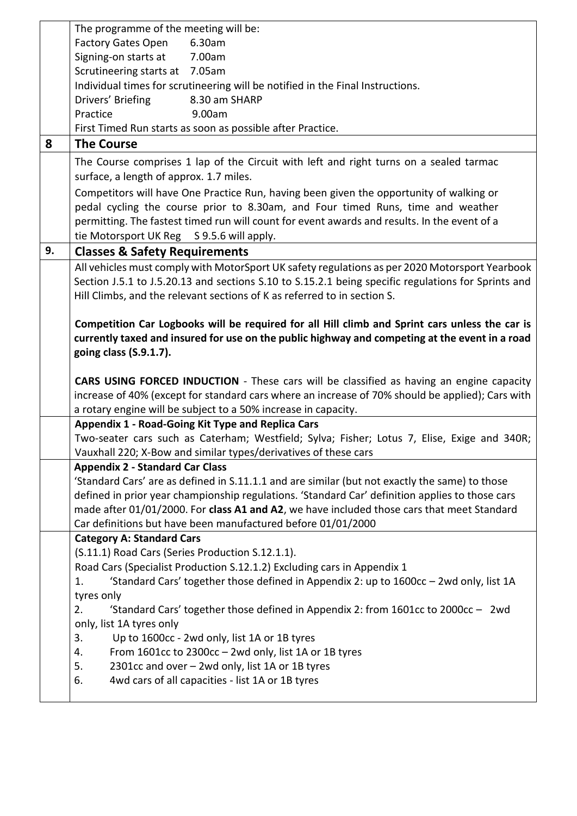|    | The programme of the meeting will be:                                                               |
|----|-----------------------------------------------------------------------------------------------------|
|    | <b>Factory Gates Open</b><br>6.30am                                                                 |
|    | Signing-on starts at<br>7.00am                                                                      |
|    | Scrutineering starts at 7.05am                                                                      |
|    | Individual times for scrutineering will be notified in the Final Instructions.                      |
|    | Drivers' Briefing<br>8.30 am SHARP                                                                  |
|    | Practice<br>9.00am                                                                                  |
|    | First Timed Run starts as soon as possible after Practice.                                          |
|    |                                                                                                     |
| 8  | <b>The Course</b>                                                                                   |
|    | The Course comprises 1 lap of the Circuit with left and right turns on a sealed tarmac              |
|    | surface, a length of approx. 1.7 miles.                                                             |
|    | Competitors will have One Practice Run, having been given the opportunity of walking or             |
|    | pedal cycling the course prior to 8.30am, and Four timed Runs, time and weather                     |
|    | permitting. The fastest timed run will count for event awards and results. In the event of a        |
|    | tie Motorsport UK Reg S 9.5.6 will apply.                                                           |
| 9. | <b>Classes &amp; Safety Requirements</b>                                                            |
|    | All vehicles must comply with MotorSport UK safety regulations as per 2020 Motorsport Yearbook      |
|    |                                                                                                     |
|    | Section J.5.1 to J.5.20.13 and sections S.10 to S.15.2.1 being specific regulations for Sprints and |
|    | Hill Climbs, and the relevant sections of K as referred to in section S.                            |
|    |                                                                                                     |
|    | Competition Car Logbooks will be required for all Hill climb and Sprint cars unless the car is      |
|    | currently taxed and insured for use on the public highway and competing at the event in a road      |
|    | going class (S.9.1.7).                                                                              |
|    |                                                                                                     |
|    |                                                                                                     |
|    | CARS USING FORCED INDUCTION - These cars will be classified as having an engine capacity            |
|    | increase of 40% (except for standard cars where an increase of 70% should be applied); Cars with    |
|    | a rotary engine will be subject to a 50% increase in capacity.                                      |
|    | Appendix 1 - Road-Going Kit Type and Replica Cars                                                   |
|    | Two-seater cars such as Caterham; Westfield; Sylva; Fisher; Lotus 7, Elise, Exige and 340R;         |
|    | Vauxhall 220; X-Bow and similar types/derivatives of these cars                                     |
|    | <b>Appendix 2 - Standard Car Class</b>                                                              |
|    |                                                                                                     |
|    | 'Standard Cars' are as defined in S.11.1.1 and are similar (but not exactly the same) to those      |
|    | defined in prior year championship regulations. 'Standard Car' definition applies to those cars     |
|    | made after 01/01/2000. For class A1 and A2, we have included those cars that meet Standard          |
|    | Car definitions but have been manufactured before 01/01/2000                                        |
|    | <b>Category A: Standard Cars</b>                                                                    |
|    | (S.11.1) Road Cars (Series Production S.12.1.1).                                                    |
|    | Road Cars (Specialist Production S.12.1.2) Excluding cars in Appendix 1                             |
|    | 'Standard Cars' together those defined in Appendix 2: up to 1600cc - 2wd only, list 1A<br>1.        |
|    | tyres only                                                                                          |
|    | 2.<br>'Standard Cars' together those defined in Appendix 2: from $1601cc$ to $2000cc - 2wd$         |
|    | only, list 1A tyres only                                                                            |
|    | 3.<br>Up to 1600cc - 2wd only, list 1A or 1B tyres                                                  |
|    | From 1601cc to 2300cc - 2wd only, list 1A or 1B tyres<br>4.                                         |
|    | 5.<br>2301cc and over - 2wd only, list 1A or 1B tyres                                               |
|    | 4wd cars of all capacities - list 1A or 1B tyres<br>6.                                              |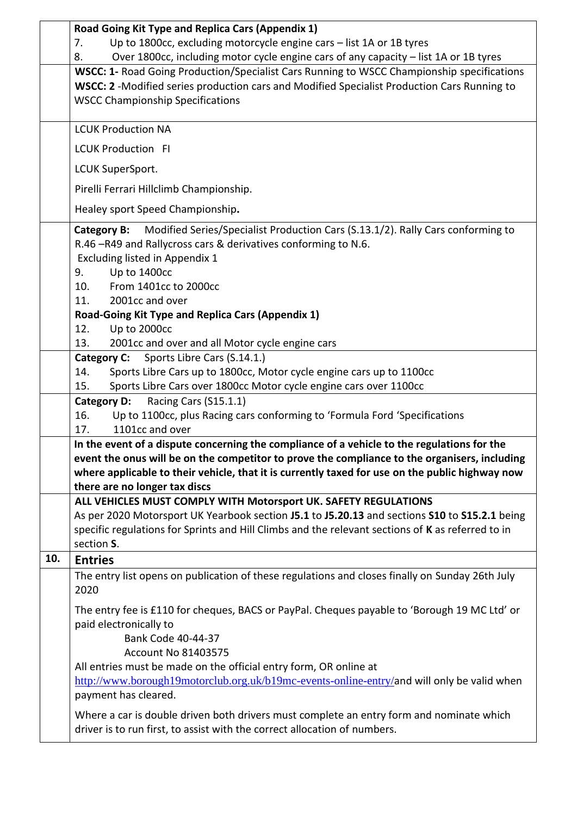|     | Road Going Kit Type and Replica Cars (Appendix 1)                                                                                                                                                                                           |
|-----|---------------------------------------------------------------------------------------------------------------------------------------------------------------------------------------------------------------------------------------------|
|     | Up to 1800cc, excluding motorcycle engine cars - list 1A or 1B tyres<br>7.                                                                                                                                                                  |
|     | Over 1800cc, including motor cycle engine cars of any capacity - list 1A or 1B tyres<br>8.                                                                                                                                                  |
|     | <b>WSCC: 1- Road Going Production/Specialist Cars Running to WSCC Championship specifications</b><br>WSCC: 2 -Modified series production cars and Modified Specialist Production Cars Running to<br><b>WSCC Championship Specifications</b> |
|     | <b>LCUK Production NA</b>                                                                                                                                                                                                                   |
|     | <b>LCUK Production FI</b>                                                                                                                                                                                                                   |
|     | LCUK SuperSport.                                                                                                                                                                                                                            |
|     | Pirelli Ferrari Hillclimb Championship.                                                                                                                                                                                                     |
|     | Healey sport Speed Championship.                                                                                                                                                                                                            |
|     | Modified Series/Specialist Production Cars (S.13.1/2). Rally Cars conforming to<br>Category B:<br>R.46 -R49 and Rallycross cars & derivatives conforming to N.6.<br>Excluding listed in Appendix 1<br>Up to 1400cc<br>9.                    |
|     | From 1401cc to 2000cc<br>10.                                                                                                                                                                                                                |
|     | 11.<br>2001cc and over                                                                                                                                                                                                                      |
|     | Road-Going Kit Type and Replica Cars (Appendix 1)                                                                                                                                                                                           |
|     | Up to 2000cc<br>12.                                                                                                                                                                                                                         |
|     | 2001cc and over and all Motor cycle engine cars<br>13.                                                                                                                                                                                      |
|     | Sports Libre Cars (S.14.1.)<br><b>Category C:</b>                                                                                                                                                                                           |
|     | 14.<br>Sports Libre Cars up to 1800cc, Motor cycle engine cars up to 1100cc                                                                                                                                                                 |
|     | Sports Libre Cars over 1800cc Motor cycle engine cars over 1100cc<br>15.                                                                                                                                                                    |
|     | Racing Cars (S15.1.1)<br><b>Category D:</b><br>16.                                                                                                                                                                                          |
|     | Up to 1100cc, plus Racing cars conforming to 'Formula Ford 'Specifications<br>1101cc and over<br>17.                                                                                                                                        |
|     | In the event of a dispute concerning the compliance of a vehicle to the regulations for the                                                                                                                                                 |
|     | event the onus will be on the competitor to prove the compliance to the organisers, including                                                                                                                                               |
|     | where applicable to their vehicle, that it is currently taxed for use on the public highway now                                                                                                                                             |
|     | there are no longer tax discs                                                                                                                                                                                                               |
|     | ALL VEHICLES MUST COMPLY WITH Motorsport UK. SAFETY REGULATIONS                                                                                                                                                                             |
|     | As per 2020 Motorsport UK Yearbook section J5.1 to J5.20.13 and sections S10 to S15.2.1 being                                                                                                                                               |
|     | specific regulations for Sprints and Hill Climbs and the relevant sections of K as referred to in                                                                                                                                           |
|     | section S.                                                                                                                                                                                                                                  |
| 10. | <b>Entries</b>                                                                                                                                                                                                                              |
|     | The entry list opens on publication of these regulations and closes finally on Sunday 26th July<br>2020                                                                                                                                     |
|     | The entry fee is £110 for cheques, BACS or PayPal. Cheques payable to 'Borough 19 MC Ltd' or<br>paid electronically to<br>Bank Code 40-44-37<br><b>Account No 81403575</b>                                                                  |
|     | All entries must be made on the official entry form, OR online at                                                                                                                                                                           |
|     | http://www.borough19motorclub.org.uk/b19mc-events-online-entry/and will only be valid when<br>payment has cleared.                                                                                                                          |
|     | Where a car is double driven both drivers must complete an entry form and nominate which<br>driver is to run first, to assist with the correct allocation of numbers.                                                                       |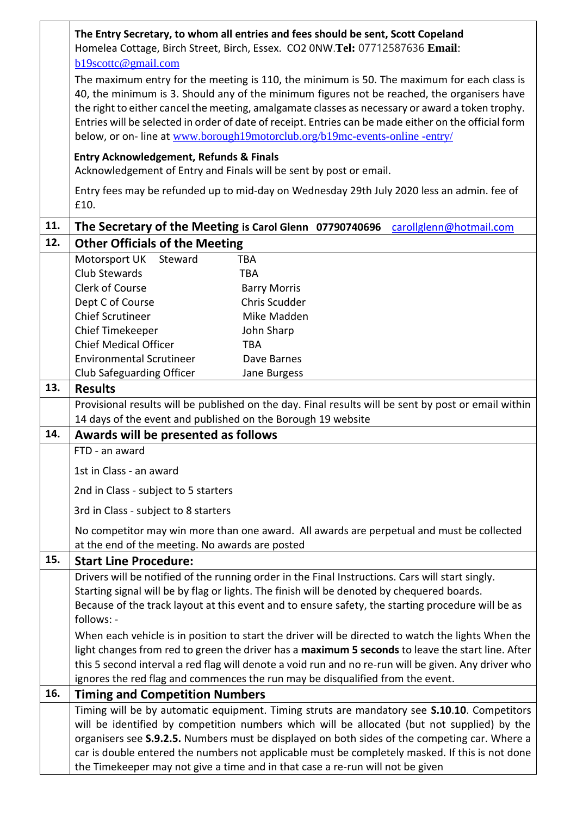|     | The Entry Secretary, to whom all entries and fees should be sent, Scott Copeland<br>Homelea Cottage, Birch Street, Birch, Essex. CO2 0NW.Tel: 07712587636 Email:<br>b19scottc@gmail.com                                                                                                                                                                                                                                                                                               |
|-----|---------------------------------------------------------------------------------------------------------------------------------------------------------------------------------------------------------------------------------------------------------------------------------------------------------------------------------------------------------------------------------------------------------------------------------------------------------------------------------------|
|     | The maximum entry for the meeting is 110, the minimum is 50. The maximum for each class is<br>40, the minimum is 3. Should any of the minimum figures not be reached, the organisers have<br>the right to either cancel the meeting, amalgamate classes as necessary or award a token trophy.<br>Entries will be selected in order of date of receipt. Entries can be made either on the official form<br>below, or on-line at www.borough19motorclub.org/b19mc-events-online -entry/ |
|     | <b>Entry Acknowledgement, Refunds &amp; Finals</b><br>Acknowledgement of Entry and Finals will be sent by post or email.                                                                                                                                                                                                                                                                                                                                                              |
|     | Entry fees may be refunded up to mid-day on Wednesday 29th July 2020 less an admin. fee of<br>£10.                                                                                                                                                                                                                                                                                                                                                                                    |
| 11. | The Secretary of the Meeting is Carol Glenn 07790740696<br>carollglenn@hotmail.com                                                                                                                                                                                                                                                                                                                                                                                                    |
| 12. | <b>Other Officials of the Meeting</b>                                                                                                                                                                                                                                                                                                                                                                                                                                                 |
|     | Motorsport UK<br>Steward<br><b>TBA</b>                                                                                                                                                                                                                                                                                                                                                                                                                                                |
|     | Club Stewards<br><b>TBA</b>                                                                                                                                                                                                                                                                                                                                                                                                                                                           |
|     | Clerk of Course<br><b>Barry Morris</b>                                                                                                                                                                                                                                                                                                                                                                                                                                                |
|     | Dept C of Course<br>Chris Scudder                                                                                                                                                                                                                                                                                                                                                                                                                                                     |
|     | <b>Chief Scrutineer</b><br>Mike Madden                                                                                                                                                                                                                                                                                                                                                                                                                                                |
|     | Chief Timekeeper<br>John Sharp                                                                                                                                                                                                                                                                                                                                                                                                                                                        |
|     | <b>Chief Medical Officer</b><br><b>TBA</b><br><b>Environmental Scrutineer</b><br>Dave Barnes                                                                                                                                                                                                                                                                                                                                                                                          |
|     | Club Safeguarding Officer<br>Jane Burgess                                                                                                                                                                                                                                                                                                                                                                                                                                             |
| 13. | <b>Results</b>                                                                                                                                                                                                                                                                                                                                                                                                                                                                        |
|     | Provisional results will be published on the day. Final results will be sent by post or email within                                                                                                                                                                                                                                                                                                                                                                                  |
|     | 14 days of the event and published on the Borough 19 website                                                                                                                                                                                                                                                                                                                                                                                                                          |
| 14. | Awards will be presented as follows                                                                                                                                                                                                                                                                                                                                                                                                                                                   |
|     | FTD - an award                                                                                                                                                                                                                                                                                                                                                                                                                                                                        |
|     | 1st in Class - an award                                                                                                                                                                                                                                                                                                                                                                                                                                                               |
|     | 2nd in Class - subject to 5 starters                                                                                                                                                                                                                                                                                                                                                                                                                                                  |
|     | 3rd in Class - subject to 8 starters                                                                                                                                                                                                                                                                                                                                                                                                                                                  |
|     | No competitor may win more than one award. All awards are perpetual and must be collected<br>at the end of the meeting. No awards are posted                                                                                                                                                                                                                                                                                                                                          |
| 15. | <b>Start Line Procedure:</b>                                                                                                                                                                                                                                                                                                                                                                                                                                                          |
|     | Drivers will be notified of the running order in the Final Instructions. Cars will start singly.                                                                                                                                                                                                                                                                                                                                                                                      |
|     | Starting signal will be by flag or lights. The finish will be denoted by chequered boards.                                                                                                                                                                                                                                                                                                                                                                                            |
|     | Because of the track layout at this event and to ensure safety, the starting procedure will be as<br>follows: -                                                                                                                                                                                                                                                                                                                                                                       |
|     | When each vehicle is in position to start the driver will be directed to watch the lights When the                                                                                                                                                                                                                                                                                                                                                                                    |
|     | light changes from red to green the driver has a maximum 5 seconds to leave the start line. After                                                                                                                                                                                                                                                                                                                                                                                     |
|     | this 5 second interval a red flag will denote a void run and no re-run will be given. Any driver who                                                                                                                                                                                                                                                                                                                                                                                  |
| 16. | ignores the red flag and commences the run may be disqualified from the event.                                                                                                                                                                                                                                                                                                                                                                                                        |
|     | <b>Timing and Competition Numbers</b><br>Timing will be by automatic equipment. Timing struts are mandatory see <b>S.10.10</b> . Competitors                                                                                                                                                                                                                                                                                                                                          |
|     | will be identified by competition numbers which will be allocated (but not supplied) by the                                                                                                                                                                                                                                                                                                                                                                                           |
|     | organisers see S.9.2.5. Numbers must be displayed on both sides of the competing car. Where a                                                                                                                                                                                                                                                                                                                                                                                         |
|     | car is double entered the numbers not applicable must be completely masked. If this is not done                                                                                                                                                                                                                                                                                                                                                                                       |
|     | the Timekeeper may not give a time and in that case a re-run will not be given                                                                                                                                                                                                                                                                                                                                                                                                        |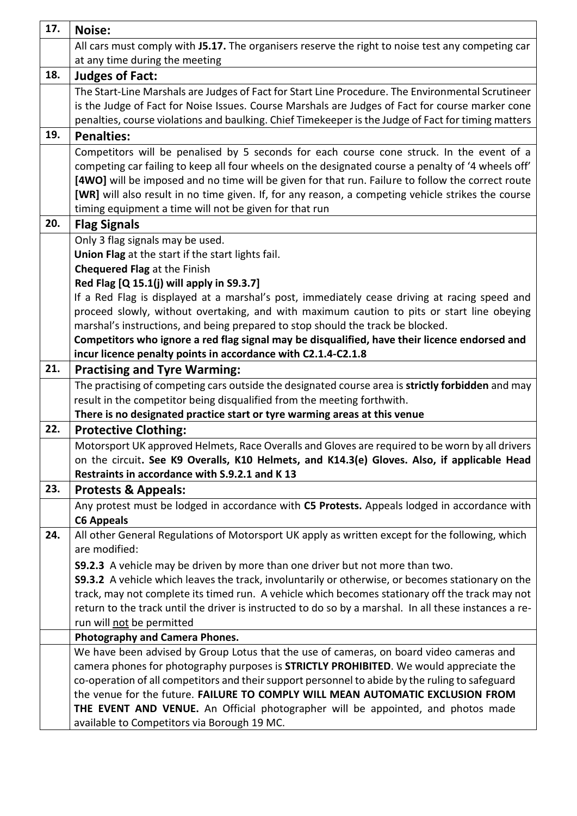| 17. | Noise:                                                                                                                                     |
|-----|--------------------------------------------------------------------------------------------------------------------------------------------|
|     | All cars must comply with J5.17. The organisers reserve the right to noise test any competing car                                          |
|     | at any time during the meeting                                                                                                             |
| 18. | <b>Judges of Fact:</b>                                                                                                                     |
|     | The Start-Line Marshals are Judges of Fact for Start Line Procedure. The Environmental Scrutineer                                          |
|     | is the Judge of Fact for Noise Issues. Course Marshals are Judges of Fact for course marker cone                                           |
|     | penalties, course violations and baulking. Chief Timekeeper is the Judge of Fact for timing matters                                        |
| 19. | <b>Penalties:</b>                                                                                                                          |
|     | Competitors will be penalised by 5 seconds for each course cone struck. In the event of a                                                  |
|     | competing car failing to keep all four wheels on the designated course a penalty of '4 wheels off'                                         |
|     | [4WO] will be imposed and no time will be given for that run. Failure to follow the correct route                                          |
|     | [WR] will also result in no time given. If, for any reason, a competing vehicle strikes the course                                         |
|     | timing equipment a time will not be given for that run                                                                                     |
| 20. | <b>Flag Signals</b>                                                                                                                        |
|     | Only 3 flag signals may be used.                                                                                                           |
|     | Union Flag at the start if the start lights fail.                                                                                          |
|     | <b>Chequered Flag at the Finish</b>                                                                                                        |
|     | Red Flag [Q 15.1(j) will apply in S9.3.7]<br>If a Red Flag is displayed at a marshal's post, immediately cease driving at racing speed and |
|     | proceed slowly, without overtaking, and with maximum caution to pits or start line obeying                                                 |
|     | marshal's instructions, and being prepared to stop should the track be blocked.                                                            |
|     | Competitors who ignore a red flag signal may be disqualified, have their licence endorsed and                                              |
|     | incur licence penalty points in accordance with C2.1.4-C2.1.8                                                                              |
| 21. | <b>Practising and Tyre Warming:</b>                                                                                                        |
|     | The practising of competing cars outside the designated course area is strictly forbidden and may                                          |
|     | result in the competitor being disqualified from the meeting forthwith.                                                                    |
|     | There is no designated practice start or tyre warming areas at this venue                                                                  |
| 22. | <b>Protective Clothing:</b>                                                                                                                |
|     | Motorsport UK approved Helmets, Race Overalls and Gloves are required to be worn by all drivers                                            |
|     | on the circuit. See K9 Overalls, K10 Helmets, and K14.3(e) Gloves. Also, if applicable Head                                                |
|     | Restraints in accordance with S.9.2.1 and K 13                                                                                             |
| 23. | <b>Protests &amp; Appeals:</b>                                                                                                             |
|     | Any protest must be lodged in accordance with C5 Protests. Appeals lodged in accordance with                                               |
|     | <b>C6 Appeals</b>                                                                                                                          |
| 24. | All other General Regulations of Motorsport UK apply as written except for the following, which                                            |
|     | are modified:                                                                                                                              |
|     | <b>S9.2.3</b> A vehicle may be driven by more than one driver but not more than two.                                                       |
|     | \$9.3.2 A vehicle which leaves the track, involuntarily or otherwise, or becomes stationary on the                                         |
|     | track, may not complete its timed run. A vehicle which becomes stationary off the track may not                                            |
|     | return to the track until the driver is instructed to do so by a marshal. In all these instances a re-<br>run will not be permitted        |
|     | <b>Photography and Camera Phones.</b>                                                                                                      |
|     | We have been advised by Group Lotus that the use of cameras, on board video cameras and                                                    |
|     | camera phones for photography purposes is <b>STRICTLY PROHIBITED</b> . We would appreciate the                                             |
|     | co-operation of all competitors and their support personnel to abide by the ruling to safeguard                                            |
|     | the venue for the future. FAILURE TO COMPLY WILL MEAN AUTOMATIC EXCLUSION FROM                                                             |
|     | THE EVENT AND VENUE. An Official photographer will be appointed, and photos made                                                           |
|     | available to Competitors via Borough 19 MC.                                                                                                |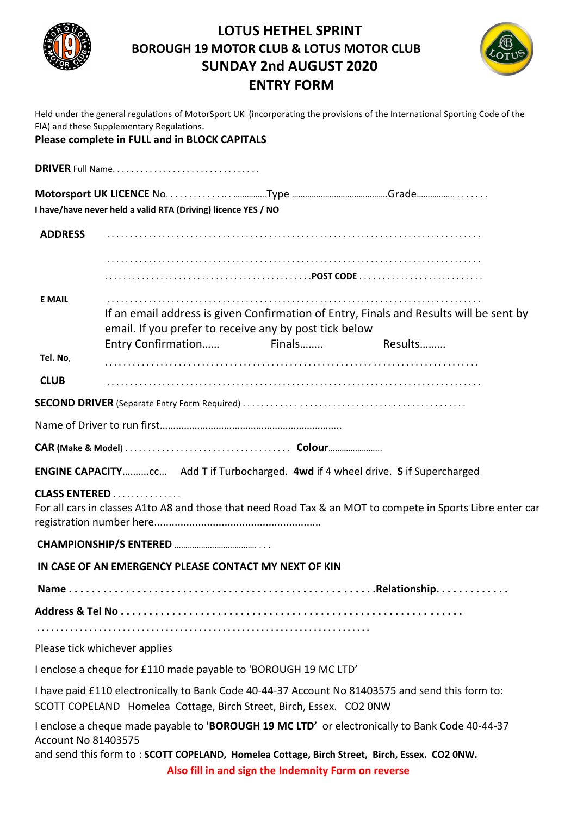

### **LOTUS HETHEL SPRINT BOROUGH 19 MOTOR CLUB & LOTUS MOTOR CLUB SUNDAY 2nd AUGUST 2020 ENTRY FORM**



Held under the general regulations of MotorSport UK (incorporating the provisions of the International Sporting Code of the FIA) and these Supplementary Regulations.

#### **Please complete in FULL and in BLOCK CAPITALS**

**DRIVER** Full Name. . . . . . . . . . . . . . . . . . . . . . . . . . . . . . . .

**Motorsport UK LICENCE** No. . . . . . . . . . . . .. . ……………Type …………………………………….Grade…………….. . . . . . . . **I have/have never held a valid RTA (Driving) licence YES / NO** 

**ADDRESS** . . . . . . . . . . . . . . . . . . . . . . . . . . . . . . . . . . . . . . . . . . . . . . . . . . . . . . . . . . . . . . . . . . . . . . . . . . . . . . . . .

. . . . . . . . . . . . . . . . . . . . . . . . . . . . . . . . . . . . . . . . . . . . . . . . . . . . . . . . . . . . . . . . . . . . . . . . . . . . . . . . . . . . . . . . . . . . . . . . . . . . . . . . . . . . . . . . . . . . . . . . . . . . . .**POST CODE** . . . . . . . . . . . . . . . . . . . . . . . . . . .

**E MAIL** . . . . . . . . . . . . . . . . . . . . . . . . . . . . . . . . . . . . . . . . . . . . . . . . . . . . . . . . . . . . . . . . . . . . . . . . . . . . . . . . .

If an email address is given Confirmation of Entry, Finals and Results will be sent by email. If you prefer to receive any by post tick below

Entry Confirmation…… Finals…….. Results………

**Tel. No**, . . . . . . . . . . . . . . . . . . . . . . . . . . . . . . . . . . . . . . . . . . . . . . . . . . . . . . . . . . . . . . . . . . . . . . . . . . . . . . . . .

**CLUB** . . . . . . . . . . . . . . . . . . . . . . . . . . . . . . . . . . . . . . . . . . . . . . . . . . . . . . . . . . . . . . . . . . . . . . . . . . . . . . . . .

**SECOND DRIVER** (Separate Entry Form Required) . . . . . . . . . . . . . . . . . . . . . . . . . . . . . . . . . . . . . . . . . . . . . . . .

Name of Driver to run first…………………………………………………………..

**CAR (Make & Model**) . . . . . . . . . . . . . . . . . . . . . . . . . . . . . . . . . . . . **Colour**…………………...

**ENGINE CAPACITY**……….cc… Add **T** if Turbocharged. **4wd** if 4 wheel drive. **S** if Supercharged

**CLASS ENTERED** . . . . . . . . . . . . . . .

For all cars in classes A1to A8 and those that need Road Tax & an MOT to compete in Sports Libre enter car registration number here.........................................................

**CHAMPIONSHIP/S ENTERED** ………………………………. . . .

**IN CASE OF AN EMERGENCY PLEASE CONTACT MY NEXT OF KIN**

**Name . . . . . . . . . . . . . . . . . . . . . . . . . . . . . . . . . . . . . . . . . . . . . . . . . . . . . .Relationship. . . . . . . . . . . . .** 

**Address & Tel No . . . . . . . . . . . . . . . . . . . . . . . . . . . . . . . . . . . . . . . . . . . . . . . . . . . . . . . . . . . .**

**. . . . . . . . . . . . . . . . . . . . . . . . . . . . . . . . . . . . . . . . . . . . . . . . . . . . . . . . . . . . . . . . . . . . . .** 

Please tick whichever applies

I enclose a cheque for £110 made payable to 'BOROUGH 19 MC LTD'

I have paid £110 electronically to Bank Code 40-44-37 Account No 81403575 and send this form to:

SCOTT COPELAND Homelea Cottage, Birch Street, Birch, Essex. CO2 0NW

I enclose a cheque made payable to '**BOROUGH 19 MC LTD'** or electronically to Bank Code 40-44-37 Account No 81403575

and send this form to : **SCOTT COPELAND, Homelea Cottage, Birch Street, Birch, Essex. CO2 0NW.**

**Also fill in and sign the Indemnity Form on reverse**